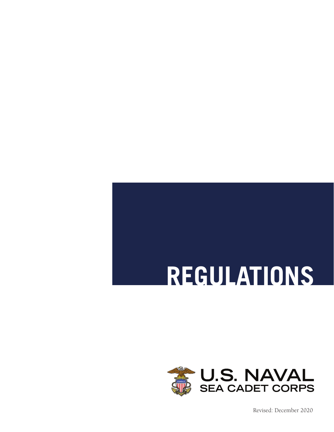# **REGULATIONS**



Revised: December 2020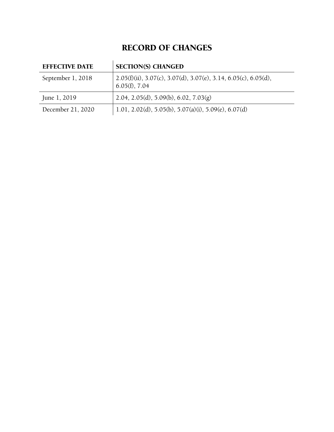## RECORD OF CHANGES

| <b>EFFECTIVE DATE</b> | <b>SECTION(S) CHANGED</b>                                                                             |
|-----------------------|-------------------------------------------------------------------------------------------------------|
| September 1, 2018     | $2.05(f)(ii)$ , $3.07(c)$ , $3.07(d)$ , $3.07(e)$ , $3.14$ , $6.05(c)$ , $6.05(d)$ ,<br>6.05(f), 7.04 |
| June 1, 2019          | 2.04, 2.05(d), 5.09(b), 6.02, 7.03(g)                                                                 |
| December 21, 2020     | 1.01, 2.02(d), 5.05(b), 5.07(a)(i), 5.09(e), 6.07(d)                                                  |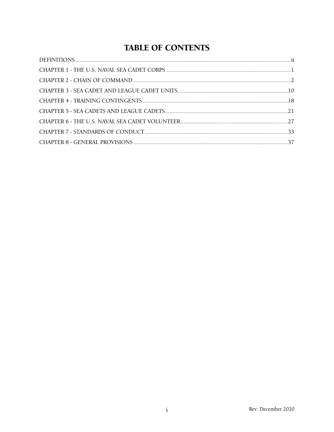## **TABLE OF CONTENTS**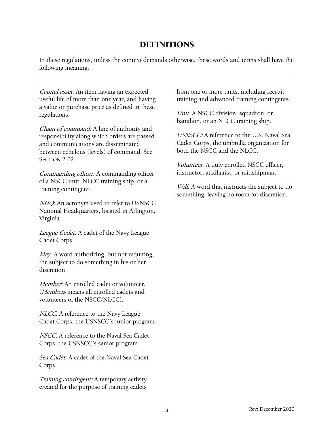### [DEFINITIONS](#page-40-0)

In these regulations, unless the context demands otherwise, these words and terms shall have the following meaning:

Capital asset: An item having an expected useful life of more than one year, and having a value or purchase price as defined in these regulations.

Chain of command: A line of authority and responsibility along which orders are passed and communications are disseminated between echelons (levels) of command. See SECTION [2.](#page-5-1)02.

[Co](#page-5-1)mmanding officer: A commanding officer of a NSCC unit, NLCC training ship, or a training contingent.

NHQ: An acronym used to refer to USNSCC National Headquarters, located in Arlington, Virginia.

League Cadet: A cadet of the Navy League Cadet Corps.

May: A word authorizing, but not requiring, the subject to do something in his or her discretion.

Member: An enrolled cadet or volunteer. (Members means all enrolled cadets and volunteers of the NSCC/NLCC).

NLCC. A reference to the Navy League Cadet Corps, the USNSCC's junior program.

NSCC. A reference to the Naval Sea Cadet Corps, the USNSCC's senior program.

Sea Cadet: A cadet of the Naval Sea Cadet Corps.

Training contingent: A temporary activity created for the purpose of training cadets

<span id="page-3-0"></span>from one or more units, including recruit training and advanced training contingents.

Unit. A NSCC division, squadron, or battalion, or an NLCC training ship.

USNSCC: A reference to the U.S. Naval Sea Cadet Corps, the umbrella organization for both the NSCC and the NLCC.

Volunteer: A duly enrolled NSCC officer, instructor, auxiliarist, or midshipman.

Will: A word that instructs the subject to do something, leaving no room for discretion.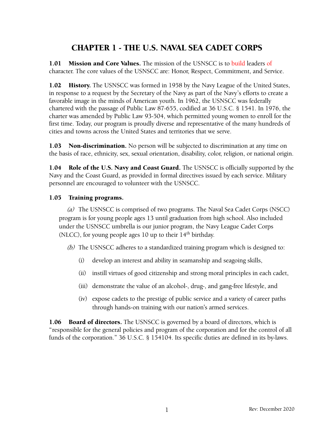## <span id="page-4-0"></span>CHAPTER 1 - THE U.S. NAVAL SEA CADET CORPS

1.01 Mission and Core Values. The mission of the USNSCC is to build leaders of character. The core values of the USNSCC are: Honor, Respect, Commitment, and Service.

1.02 History. The USNSCC was formed in 1958 by the Navy League of the United States, in response to a request by the Secretary of the Navy as part of the Navy's efforts to create a favorable image in the minds of American youth. In 1962, the USNSCC was federally chartered with the passage of Public Law 87-655, codified at 36 U.S.C. § 1541. In 1976, the charter was amended by Public Law 93-504, which permitted young women to enroll for the first time. Today, our program is proudly diverse and representative of the many hundreds of cities and towns across the United States and territories that we serve.

**1.03** Non-discrimination. No person will be subjected to discrimination at any time on the basis of race, ethnicity, sex, sexual orientation, disability, color, religion, or national origin.

1.04 Role of the U.S. Navy and Coast Guard. The USNSCC is officially supported by the Navy and the Coast Guard, as provided in formal directives issued by each service. Military personnel are encouraged to volunteer with the USNSCC.

#### 1.05 Training programs.

(a) The USNSCC is comprised of two programs. The Naval Sea Cadet Corps (NSCC) program is for young people ages 13 until graduation from high school. Also included under the USNSCC umbrella is our junior program, the Navy League Cadet Corps (NLCC), for young people ages 10 up to their  $14<sup>th</sup>$  birthday.

(b) The USNSCC adheres to a standardized training program which is designed to:

- (i) develop an interest and ability in seamanship and seagoing skills,
- (ii) instill virtues of good citizenship and strong moral principles in each cadet,
- (iii) demonstrate the value of an alcohol-, drug-, and gang-free lifestyle, and
- (iv) expose cadets to the prestige of public service and a variety of career paths through hands-on training with our nation's armed services.

1.06 Board of directors. The USNSCC is governed by a board of directors, which is "responsible for the general policies and program of the corporation and for the control of all funds of the corporation." 36 U.S.C. § 154104. Its specific duties are defined in its by-laws.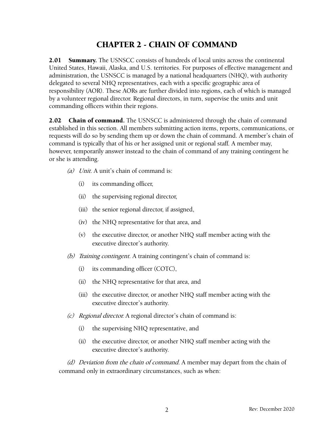## <span id="page-5-0"></span>CHAPTER 2 - CHAIN OF COMMAND

2.01 Summary. The USNSCC consists of hundreds of local units across the continental United States, Hawaii, Alaska, and U.S. territories. For purposes of effective management and administration, the USNSCC is managed by a national headquarters (NHQ), with authority delegated to several NHQ representatives, each with a specific geographic area of responsibility (AOR). These AORs are further divided into regions, each of which is managed by a volunteer regional director. Regional directors, in turn, supervise the units and unit commanding officers within their regions.

**2.02** Chain of command. The USNSCC is administered through the chain of command established in this section. All members submitting action items, reports, communications, or requests will do so by sending them up or down the chain of command. A member's chain of command is typically that of his or her assigned unit or regional staff. A member may, however, temporarily answer instead to the chain of command of any training contingent he or she is attending.

- <span id="page-5-1"></span>(a) Unit. A unit's chain of command is:
	- (i) its commanding officer,
	- (ii) the supervising regional director,
	- (iii) the senior regional director, if assigned,
	- (iv) the NHQ representative for that area, and
	- (v) the executive director, or another NHQ staff member acting with the executive director's authority.
- (b) Training contingent. A training contingent's chain of command is:
	- (i) its commanding officer (COTC),
	- (ii) the NHQ representative for that area, and
	- (iii) the executive director, or another NHQ staff member acting with the executive director's authority.
- (c) Regional director. A regional director's chain of command is:
	- (i) the supervising NHQ representative, and
	- (ii) the executive director, or another NHQ staff member acting with the executive director's authority.

(d) Deviation from the chain of command. A member may depart from the chain of command only in extraordinary circumstances, such as when: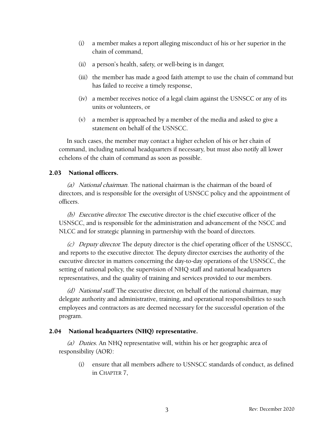- (i) a member makes a report alleging misconduct of his or her superior in the chain of command,
- (ii) a person's health, safety, or well-being is in danger,
- (iii) the member has made a good faith attempt to use the chain of command but has failed to receive a timely response,
- (iv) a member receives notice of a legal claim against the USNSCC or any of its units or volunteers, or
- (v) a member is approached by a member of the media and asked to give a statement on behalf of the USNSCC.

In such cases, the member may contact a higher echelon of his or her chain of command, including national headquarters if necessary, but must also notify all lower echelons of the chain of command as soon as possible.

#### 2.03 National officers.

(a) National chairman. The national chairman is the chairman of the board of directors, and is responsible for the oversight of USNSCC policy and the appointment of officers.

(b) Executive director. The executive director is the chief executive officer of the USNSCC, and is responsible for the administration and advancement of the NSCC and NLCC and for strategic planning in partnership with the board of directors.

(c) Deputy director. The deputy director is the chief operating officer of the USNSCC, and reports to the executive director. The deputy director exercises the authority of the executive director in matters concerning the day-to-day operations of the USNSCC, the setting of national policy, the supervision of NHQ staff and national headquarters representatives, and the quality of training and services provided to our members.

(d) National staff. The executive director, on behalf of the national chairman, may delegate authority and administrative, training, and operational responsibilities to such employees and contractors as are deemed necessary for the successful operation of the program.

#### 2.04 National headquarters (NHQ) representative.

(a) Duties. An NHQ representative will, within his or her geographic area of responsibility (AOR):

(i) ensure that all members adhere to USNSCC standards of conduct, as defined in CHAPTER 7,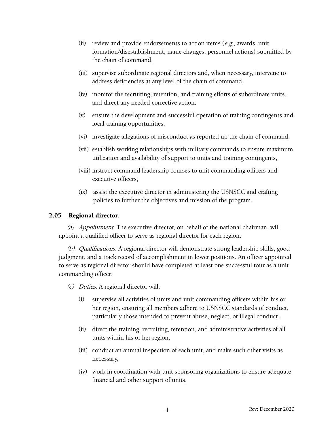- (ii) review and provide endorsements to action items  $(e.g.,$  awards, unit formation/disestablishment, name changes, personnel actions) submitted by the chain of command,
- (iii) supervise subordinate regional directors and, when necessary, intervene to address deficiencies at any level of the chain of command,
- (iv) monitor the recruiting, retention, and training efforts of subordinate units, and direct any needed corrective action.
- (v) ensure the development and successful operation of training contingents and local training opportunities,
- (vi) investigate allegations of misconduct as reported up the chain of command,
- (vii) establish working relationships with military commands to ensure maximum utilization and availability of support to units and training contingents,
- (viii) instruct command leadership courses to unit commanding officers and executive officers,
- (ix) assist the executive director in administering the USNSCC and crafting policies to further the objectives and mission of the program.

#### 2.05 Regional director.

(a) Appointment. The executive director, on behalf of the national chairman, will appoint a qualified officer to serve as regional director for each region.

(b) Qualifications. A regional director will demonstrate strong leadership skills, good judgment, and a track record of accomplishment in lower positions. An officer appointed to serve as regional director should have completed at least one successful tour as a unit commanding officer.

(c) Duties. A regional director will:

- (i) supervise all activities of units and unit commanding officers within his or her region, ensuring all members adhere to USNSCC standards of conduct, particularly those intended to prevent abuse, neglect, or illegal conduct,
- (ii) direct the training, recruiting, retention, and administrative activities of all units within his or her region,
- (iii) conduct an annual inspection of each unit, and make such other visits as necessary,
- (iv) work in coordination with unit sponsoring organizations to ensure adequate financial and other support of units,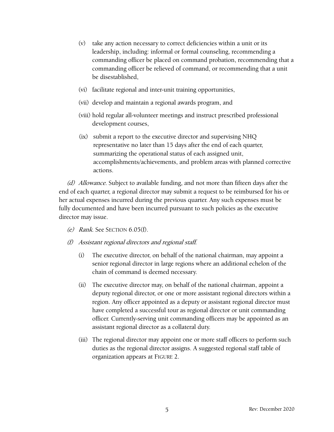- (v) take any action necessary to correct deficiencies within a unit or its leadership, including: informal or formal counseling, recommending a commanding officer be placed on command probation, recommending that a commanding officer be relieved of command, or recommending that a unit be disestablished,
- (vi) facilitate regional and inter-unit training opportunities,
- (vii) develop and maintain a regional awards program, and
- (viii) hold regular all-volunteer meetings and instruct prescribed professional development courses,
- (ix) submit a report to the executive director and supervising NHQ representative no later than 15 days after the end of each quarter, summarizing the operational status of each assigned unit, accomplishments/achievements, and problem areas with planned corrective actions.

(d) Allowance. Subject to available funding, and not more than fifteen days after the end of each quarter, a regional director may submit a request to be reimbursed for his or her actual expenses incurred during the previous quarter. Any such expenses must be fully documented and have been incurred pursuant to such policies as the executive director may issue.

- (e) Rank. See SECTION 6.05(f).
- (f) Assistant regional directors and regional staff.
	- (i) The executive director, on behalf of the national chairman, may appoint a senior regional director in large regions where an additional echelon of the chain of command is deemed necessary.
	- (ii) The executive director may, on behalf of the national chairman, appoint a deputy regional director, or one or more assistant regional directors within a region. Any officer appointed as a deputy or assistant regional director must have completed a successful tour as regional director or unit commanding officer. Currently-serving unit commanding officers may be appointed as an assistant regional director as a collateral duty.
	- (iii) The regional director may appoint one or more staff officers to perform such duties as the regional director assigns. A suggested regional staff table of organization appears at FIGURE 2.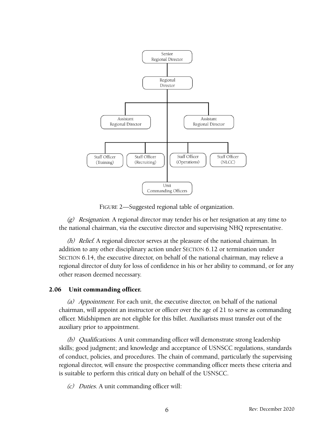

FIGURE 2—Suggested regional table of organization.

 $(g)$  Resignation. A regional director may tender his or her resignation at any time to the national chairman, via the executive director and supervising NHQ representative.

(h) Relief. A regional director serves at the pleasure of the national chairman. In addition to any other disciplinary action under SECTION 6.12 [or](#page-34-0) termination under SECTION 6.14[, th](#page-35-0)e executive director, on behalf of the national chairman, may relieve a regional director of duty for loss of confidence in his or her ability to command, or for any other reason deemed necessary.

#### 2.06 Unit commanding officer.

(a) Appointment. For each unit, the executive director, on behalf of the national chairman, will appoint an instructor or officer over the age of 21 to serve as commanding officer. Midshipmen are not eligible for this billet. Auxiliarists must transfer out of the auxiliary prior to appointment.

(b) Qualifications. A unit commanding officer will demonstrate strong leadership skills; good judgment; and knowledge and acceptance of USNSCC regulations, standards of conduct, policies, and procedures. The chain of command, particularly the supervising regional director, will ensure the prospective commanding officer meets these criteria and is suitable to perform this critical duty on behalf of the USNSCC.

(c) Duties. A unit commanding officer will: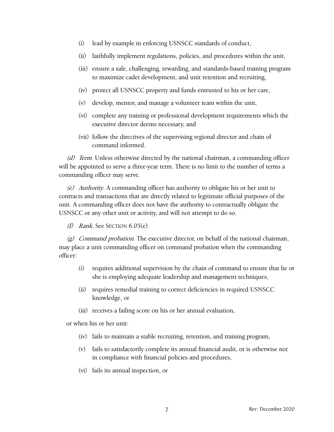- (i) lead by example in enforcing USNSCC standards of conduct,
- (ii) faithfully implement regulations, policies, and procedures within the unit,
- (iii) ensure a safe, challenging, rewarding, and standards-based training program to maximize cadet development, and unit retention and recruiting,
- (iv) protect all USNSCC property and funds entrusted to his or her care,
- (v) develop, mentor, and manage a volunteer team within the unit,
- (vi) complete any training or professional development requirements which the executive director deems necessary, and
- (vii) follow the directives of the supervising regional director and chain of command informed.

(d) Term. Unless otherwise directed by the national chairman, a commanding officer will be appointed to serve a three-year term. There is no limit to the number of terms a commanding officer may serve.

(e) Authority. A commanding officer has authority to obligate his or her unit to contracts and transactions that are directly related to legitimate official purposes of the unit. A commanding officer does not have the authority to contractually obligate the USNSCC or any other unit or activity, and will not attempt to do so.

(f) Rank. See SECTION 6.05(e).

(g) Command probation. The executive director, on behalf of the national chairman, may place a unit commanding officer on command probation when the commanding officer:

- (i) requires additional supervision by the chain of command to ensure that he or she is employing adequate leadership and management techniques,
- (ii) requires remedial training to correct deficiencies in required USNSCC knowledge, or
- (iii) receives a failing score on his or her annual evaluation,

or when his or her unit:

- (iv) fails to maintain a stable recruiting, retention, and training program,
- (v) fails to satisfactorily complete its annual financial audit, or is otherwise not in compliance with financial policies and procedures,
- (vi) fails its annual inspection, or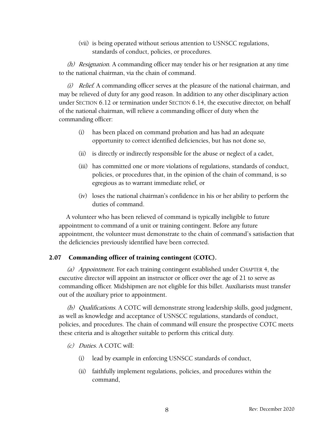(vii) is being operated without serious attention to USNSCC regulations, standards of conduct, policies, or procedures.

(h) Resignation. A commanding officer may tender his or her resignation at any time to the national chairman, via the chain of command.

(i) Relief. A commanding officer serves at the pleasure of the national chairman, and may be relieved of duty for any good reason. In addition to any other disciplinary action under SECTION 6.12 [or](#page-34-0) termination under SECTION 6.1[4, th](#page-35-0)e executive director, on behalf of the national chairman, will relieve a commanding officer of duty when the commanding officer:

- (i) has been placed on command probation and has had an adequate opportunity to correct identified deficiencies, but has not done so,
- (ii) is directly or indirectly responsible for the abuse or neglect of a cadet,
- (iii) has committed one or more violations of regulations, standards of conduct, policies, or procedures that, in the opinion of the chain of command, is so egregious as to warrant immediate relief, or
- <span id="page-11-0"></span>(iv) loses the national chairman's confidence in his or her ability to perform the duties of command.

A volunteer who has been relieved of command is typically ineligible to future appointment to command of a unit or training contingent. Before any future appointment, the volunteer must demonstrate to the chain of command's satisfaction that the deficiencies previously identified have been corrected.

#### 2.07 Commanding officer of training contingent (COTC).

(a) Appointment. For each training contingent established under CHAPTER 4, the executive director will appoint an instructor or officer over the age of 21 to serve as commanding officer. Midshipmen are not eligible for this billet. Auxiliarists must transfer out of the auxiliary prior to appointment.

(b) Qualifications. A COTC will demonstrate strong leadership skills, good judgment, as well as knowledge and acceptance of USNSCC regulations, standards of conduct, policies, and procedures. The chain of command will ensure the prospective COTC meets these criteria and is altogether suitable to perform this critical duty.

- (c) Duties. A COTC will:
	- (i) lead by example in enforcing USNSCC standards of conduct,
	- (ii) faithfully implement regulations, policies, and procedures within the command,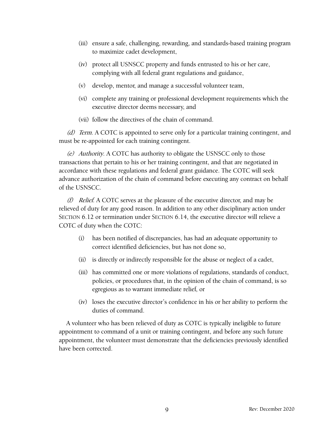- (iii) ensure a safe, challenging, rewarding, and standards-based training program to maximize cadet development,
- (iv) protect all USNSCC property and funds entrusted to his or her care, complying with all federal grant regulations and guidance,
- (v) develop, mentor, and manage a successful volunteer team,
- (vi) complete any training or professional development requirements which the executive director deems necessary, and
- (vii) follow the directives of the chain of command.

(d) Term. A COTC is appointed to serve only for a particular training contingent, and must be re-appointed for each training contingent.

(e) Authority. A COTC has authority to obligate the USNSCC only to those transactions that pertain to his or her training contingent, and that are negotiated in accordance with these regulations and federal grant guidance. The COTC will seek advance authorization of the chain of command before executing any contract on behalf of the USNSCC.

(f) Relief. A COTC serves at the pleasure of the executive director, and may be relieved of duty for any good reason. In addition to any other disciplinary action under SECTION 6.12 [or](#page-34-0) termination under SECTION 6.1[4, th](#page-35-0)e executive director will relieve a COTC of duty when the COTC:

- (i) has been notified of discrepancies, has had an adequate opportunity to correct identified deficiencies, but has not done so,
- (ii) is directly or indirectly responsible for the abuse or neglect of a cadet,
- (iii) has committed one or more violations of regulations, standards of conduct, policies, or procedures that, in the opinion of the chain of command, is so egregious as to warrant immediate relief, or
- (iv) loses the executive director's confidence in his or her ability to perform the duties of command.

A volunteer who has been relieved of duty as COTC is typically ineligible to future appointment to command of a unit or training contingent, and before any such future appointment, the volunteer must demonstrate that the deficiencies previously identified have been corrected.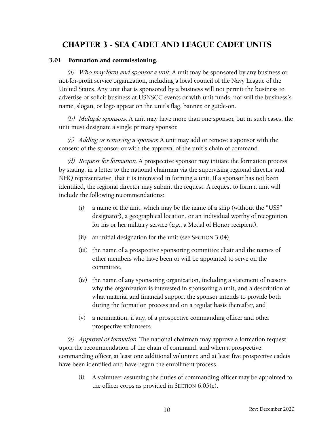## <span id="page-13-1"></span><span id="page-13-0"></span>CHAPTER 3 - SEA CADET AND LEAGUE CADET UNITS

#### 3.01 Formation and commissioning.

(a) Who may form and sponsor a unit. A unit may be sponsored by any business or not-for-profit service organization, including a local council of the Navy League of the United States. Any unit that is sponsored by a business will not permit the business to advertise or solicit business at USNSCC events or with unit funds, nor will the business's name, slogan, or logo appear on the unit's flag, banner, or guide-on.

(b) Multiple sponsors. A unit may have more than one sponsor, but in such cases, the unit must designate a single primary sponsor.

(c) Adding or removing a sponsor. A unit may add or remove a sponsor with the consent of the sponsor, or with the approval of the unit's chain of command.

(d) Request for formation. A prospective sponsor may initiate the formation process by stating, in a letter to the national chairman via the supervising regional director and NHQ representative, that it is interested in forming a unit. If a sponsor has not been identified, the regional director may submit the request. A request to form a unit will include the following recommendations:

- (i) a name of the unit, which may be the name of a ship (without the "USS" designator), a geographical location, or an individual worthy of recognition for his or her military service (e.g., a Medal of Honor recipient),
- (ii) an initial designation for the unit (see SECTION 3.04[\),](#page-16-0)
- (iii) [t](#page-16-0)he name of a prospective sponsoring committee chair and the names of other members who have been or will be appointed to serve on the committee,
- (iv) the name of any sponsoring organization, including a statement of reasons why the organization is interested in sponsoring a unit, and a description of what material and financial support the sponsor intends to provide both during the formation process and on a regular basis thereafter, and
- (v) a nomination, if any, of a prospective commanding officer and other prospective volunteers.

(e) Approval of formation. The national chairman may approve a formation request upon the recommendation of the chain of command, and when a prospective commanding officer, at least one additional volunteer, and at least five prospective cadets have been identified and have begun the enrollment process.

(i) A volunteer assuming the duties of commanding officer may be appointed to the officer corps as provided in SECTION 6.05(e).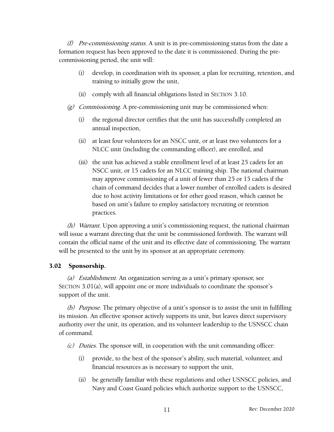$(f)$  Pre-commissioning status. A unit is in pre-commissioning status from the date a formation request has been approved to the date it is commissioned. During the precommissioning period, the unit will:

- (i) develop, in coordination with its sponsor, a plan for recruiting, retention, and training to initially grow the unit,
- (ii) comply with all financial obligations listed in SECTION 3.10[.](#page-18-0)
- (g) [Co](#page-18-0)mmissioning. A pre-commissioning unit may be commissioned when:
	- (i) the regional director certifies that the unit has successfully completed an annual inspection,
	- (ii) at least four volunteers for an NSCC unit, or at least two volunteers for a NLCC unit (including the commanding officer), are enrolled, and
	- (iii) the unit has achieved a stable enrollment level of at least 25 cadets for an NSCC unit, or 15 cadets for an NLCC training ship. The national chairman may approve commissioning of a unit of fewer than 25 or 15 cadets if the chain of command decides that a lower number of enrolled cadets is desired due to host activity limitations or for other good reason, which cannot be based on unit's failure to employ satisfactory recruiting or retention practices.

(h) Warrant. Upon approving a unit's commissioning request, the national chairman will issue a warrant directing that the unit be commissioned forthwith. The warrant will contain the official name of the unit and its effective date of commissioning. The warrant will be presented to the unit by its sponsor at an appropriate ceremony.

#### 3.02 Sponsorship.

(a) *Establishment*. An organization serving as a unit's primary sponsor, see SECTION 3.01(a), will appoint one or more individuals to coordinate the sponsor's support of the unit.

(b) Purpose. The primary objective of a unit's sponsor is to assist the unit in fulfilling its mission. An effective sponsor actively supports its unit, but leaves direct supervisory authority over the unit, its operation, and its volunteer leadership to the USNSCC chain of command.

(c) Duties. The sponsor will, in cooperation with the unit commanding officer:

- (i) provide, to the best of the sponsor's ability, such material, volunteer, and financial resources as is necessary to support the unit,
- (ii) be generally familiar with these regulations and other USNSCC policies, and Navy and Coast Guard policies which authorize support to the USNSCC,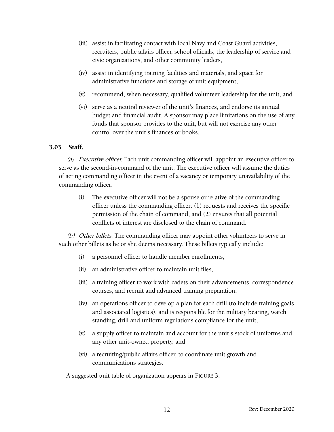- (iii) assist in facilitating contact with local Navy and Coast Guard activities, recruiters, public affairs officer, school officials, the leadership of service and civic organizations, and other community leaders,
- (iv) assist in identifying training facilities and materials, and space for administrative functions and storage of unit equipment,
- (v) recommend, when necessary, qualified volunteer leadership for the unit, and
- (vi) serve as a neutral reviewer of the unit's finances, and endorse its annual budget and financial audit. A sponsor may place limitations on the use of any funds that sponsor provides to the unit, but will not exercise any other control over the unit's finances or books.

#### 3.03 Staff.

(a) Executive officer. Each unit commanding officer will appoint an executive officer to serve as the second-in-command of the unit. The executive officer will assume the duties of acting commanding officer in the event of a vacancy or temporary unavailability of the commanding officer.

(i) The executive officer will not be a spouse or relative of the commanding officer unless the commanding officer: (1) requests and receives the specific permission of the chain of command, and (2) ensures that all potential conflicts of interest are disclosed to the chain of command.

(b) Other billets. The commanding officer may appoint other volunteers to serve in such other billets as he or she deems necessary. These billets typically include:

- (i) a personnel officer to handle member enrollments,
- (ii) an administrative officer to maintain unit files,
- (iii) a training officer to work with cadets on their advancements, correspondence courses, and recruit and advanced training preparation,
- (iv) an operations officer to develop a plan for each drill (to include training goals and associated logistics), and is responsible for the military bearing, watch standing, drill and uniform regulations compliance for the unit,
- (v) a supply officer to maintain and account for the unit's stock of uniforms and any other unit-owned property, and
- (vi) a recruiting/public affairs officer, to coordinate unit growth and communications strategies.

A suggested unit table of organization appears in FIGURE 3.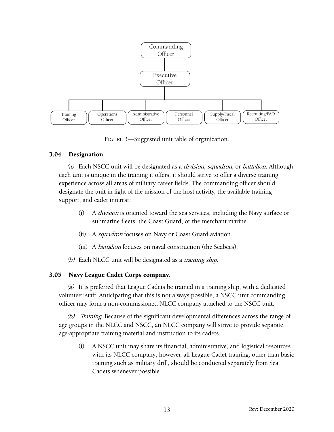

<span id="page-16-0"></span>FIGURE 3—Suggested unit table of organization.

#### 3.04 Designation.

(a) Each NSCC unit will be designated as a *division, squadron, or battalion*. Although each unit is unique in the training it offers, it should strive to offer a diverse training experience across all areas of military career fields. The commanding officer should designate the unit in light of the mission of the host activity, the available training support, and cadet interest:

- (i) A division is oriented toward the sea services, including the Navy surface or submarine fleets, the Coast Guard, or the merchant marine.
- (ii) A squadron focuses on Navy or Coast Guard aviation.
- (iii) A battalion focuses on naval construction (the Seabees).
- (b) Each NLCC unit will be designated as a *training ship*.

#### 3.05 Navy League Cadet Corps company.

(a) It is preferred that League Cadets be trained in a training ship, with a dedicated volunteer staff. Anticipating that this is not always possible, a NSCC unit commanding officer may form a non-commissioned NLCC company attached to the NSCC unit.

(b) Training. Because of the significant developmental differences across the range of age groups in the NLCC and NSCC, an NLCC company will strive to provide separate, age-appropriate training material and instruction to its cadets.

(i) A NSCC unit may share its financial, administrative, and logistical resources with its NLCC company; however, all League Cadet training, other than basic training such as military drill, should be conducted separately from Sea Cadets whenever possible.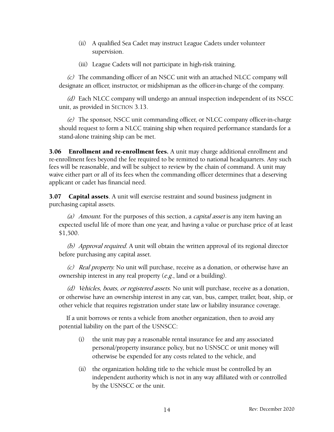- (ii) A qualified Sea Cadet may instruct League Cadets under volunteer supervision.
- (iii) League Cadets will not participate in high-risk training.

(c) The commanding officer of an NSCC unit with an attached NLCC company will designate an officer, instructor, or midshipman as the officer-in-charge of the company.

(d) Each NLCC company will undergo an annual inspection independent of its NSCC unit, as provided in SECTION 3.1[3.](#page-19-0)

(e) [Th](#page-19-0)e sponsor, NSCC unit commanding officer, or NLCC company officer-in-charge should request to form a NLCC training ship when required performance standards for a stand-alone training ship can be met.

**3.06** Enrollment and re-enrollment fees. A unit may charge additional enrollment and re-enrollment fees beyond the fee required to be remitted to national headquarters. Any such fees will be reasonable, and will be subject to review by the chain of command. A unit may waive either part or all of its fees when the commanding officer determines that a deserving applicant or cadet has financial need.

**3.07** Capital assets. A unit will exercise restraint and sound business judgment in purchasing capital assets.

(a) Amount. For the purposes of this section, a *capital asset* is any item having an expected useful life of more than one year, and having a value or purchase price of at least \$1,500.

(b) Approval required. A unit will obtain the written approval of its regional director before purchasing any capital asset.

(c) Real property. No unit will purchase, receive as a donation, or otherwise have an ownership interest in any real property (e.g., land or a building).

(d) Vehicles, boats, or registered assets. No unit will purchase, receive as a donation, or otherwise have an ownership interest in any car, van, bus, camper, trailer, boat, ship, or other vehicle that requires registration under state law or liability insurance coverage.

If a unit borrows or rents a vehicle from another organization, then to avoid any potential liability on the part of the USNSCC:

- (i) the unit may pay a reasonable rental insurance fee and any associated personal/property insurance policy, but no USNSCC or unit money will otherwise be expended for any costs related to the vehicle, and
- (ii) the organization holding title to the vehicle must be controlled by an independent authority which is not in any way affiliated with or controlled by the USNSCC or the unit.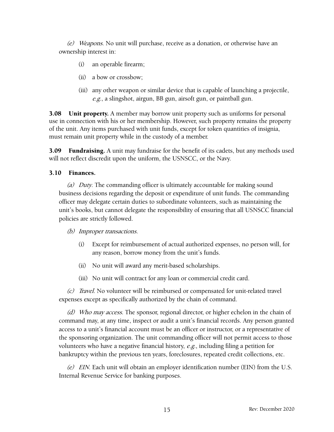(e) Weapons. No unit will purchase, receive as a donation, or otherwise have an ownership interest in:

- (i) an operable firearm;
- (ii) a bow or crossbow;
- (iii) any other weapon or similar device that is capable of launching a projectile, e.g., a slingshot, airgun, BB gun, airsoft gun, or paintball gun.

**3.08** Unit property. A member may borrow unit property such as uniforms for personal use in connection with his or her membership. However, such property remains the property of the unit. Any items purchased with unit funds, except for token quantities of insignia, must remain unit property while in the custody of a member.

**3.09 Fundraising.** A unit may fundraise for the benefit of its cadets, but any methods used will not reflect discredit upon the uniform, the USNSCC, or the Navy.

#### 3.10 Finances.

<span id="page-18-0"></span>(a) Duty. The commanding officer is ultimately accountable for making sound business decisions regarding the deposit or expenditure of unit funds. The commanding officer may delegate certain duties to subordinate volunteers, such as maintaining the unit's books, but cannot delegate the responsibility of ensuring that all USNSCC financial policies are strictly followed.

#### (b) Improper transactions.

- (i) Except for reimbursement of actual authorized expenses, no person will, for any reason, borrow money from the unit's funds.
- (ii) No unit will award any merit-based scholarships.
- (iii) No unit will contract for any loan or commercial credit card.

(c) Travel. No volunteer will be reimbursed or compensated for unit-related travel expenses except as specifically authorized by the chain of command.

(d) Who may access. The sponsor, regional director, or higher echelon in the chain of command may, at any time, inspect or audit a unit's financial records. Any person granted access to a unit's financial account must be an officer or instructor, or a representative of the sponsoring organization. The unit commanding officer will not permit access to those volunteers who have a negative financial history,  $e.g.,$  including filing a petition for bankruptcy within the previous ten years, foreclosures, repeated credit collections, etc.

(e) EIN. Each unit will obtain an employer identification number (EIN) from the U.S. Internal Revenue Service for banking purposes.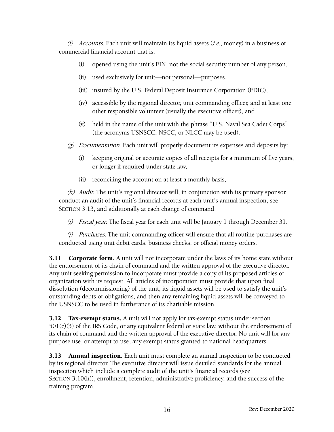(f) Accounts. Each unit will maintain its liquid assets (*i.e.*, money) in a business or commercial financial account that is:

- (i) opened using the unit's EIN, not the social security number of any person,
- (ii) used exclusively for unit—not personal—purposes,
- (iii) insured by the U.S. Federal Deposit Insurance Corporation (FDIC),
- (iv) accessible by the regional director, unit commanding officer, and at least one other responsible volunteer (usually the executive officer), and
- (v) held in the name of the unit with the phrase "U.S. Naval Sea Cadet Corps" (the acronyms USNSCC, NSCC, or NLCC may be used).
- $(g)$  Documentation. Each unit will properly document its expenses and deposits by:
	- (i) keeping original or accurate copies of all receipts for a minimum of five years, or longer if required under state law,
	- (ii) reconciling the account on at least a monthly basis,

(h) Audit. The unit's regional director will, in conjunction with its primary sponsor, conduct an audit of the unit's financial records at each unit's annual inspection, see SECTION 3.13, [an](#page-19-0)d additionally at each change of command.

<span id="page-19-1"></span>(i) Fiscal year. The fiscal year for each unit will be January 1 through December 31.

 $(i)$  Purchases. The unit commanding officer will ensure that all routine purchases are conducted using unit debit cards, business checks, or official money orders.

**3.11 Corporate form.** A unit will not incorporate under the laws of its home state without the endorsement of its chain of command and the written approval of the executive director. Any unit seeking permission to incorporate must provide a copy of its proposed articles of organization with its request. All articles of incorporation must provide that upon final dissolution (decommissioning) of the unit, its liquid assets will be used to satisfy the unit's outstanding debts or obligations, and then any remaining liquid assets will be conveyed to the USNSCC to be used in furtherance of its charitable mission.

**3.12** Tax-exempt status. A unit will not apply for tax-exempt status under section  $501(c)(3)$  of the IRS Code, or any equivalent federal or state law, without the endorsement of its chain of command and the written approval of the executive director. No unit will for any purpose use, or attempt to use, any exempt status granted to national headquarters.

<span id="page-19-0"></span>**3.13** Annual inspection. Each unit must complete an annual inspection to be conducted by its regional director. The executive director will issue detailed standards for the annual inspection which include a complete audit of the unit's financial records (see SECTION 3.10(h[\)\), enrol](#page-19-1)lment, retention, administrative proficiency, and the success of the training program.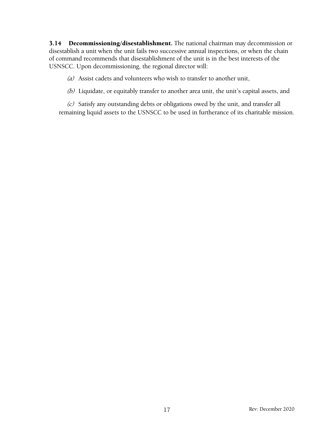3.14 Decommissioning/disestablishment. The national chairman may decommission or disestablish a unit when the unit fails two successive annual inspections, or when the chain of command recommends that disestablishment of the unit is in the best interests of the USNSCC. Upon decommissioning, the regional director will:

(a) Assist cadets and volunteers who wish to transfer to another unit,

(b) Liquidate, or equitably transfer to another area unit, the unit's capital assets, and

(c) Satisfy any outstanding debts or obligations owed by the unit, and transfer all remaining liquid assets to the USNSCC to be used in furtherance of its charitable mission.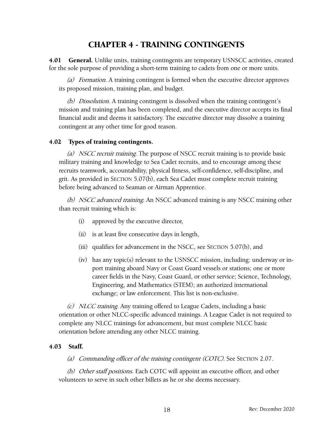## <span id="page-21-0"></span>CHAPTER 4 - TRAINING CONTINGENTS

4.01 General. Unlike units, training contingents are temporary USNSCC activities, created for the sole purpose of providing a short-term training to cadets from one or more units.

(a) Formation. A training contingent is formed when the executive director approves its proposed mission, training plan, and budget.

(b) Dissolution. A training contingent is dissolved when the training contingent's mission and training plan has been completed, and the executive director accepts its final financial audit and deems it satisfactory. The executive director may dissolve a training contingent at any other time for good reason.

#### 4.02 Types of training contingents.

(a) NSCC recruit training. The purpose of NSCC recruit training is to provide basic military training and knowledge to Sea Cadet recruits, and to encourage among these recruits teamwork, accountability, physical fitness, self-confidence, self-discipline, and grit. As provided in SECTION 5.07(b)[, each](#page-27-0) Sea Cadet must complete recruit training before being advanced to Seaman or Airman Apprentice.

(b) NSCC advanced training. An NSCC advanced training is any NSCC training other than recruit training which is:

- <span id="page-21-1"></span>(i) approved by the executive director,
- (ii) is at least five consecutive days in length,
- (iii) qualifies for advancement in the NSCC, see SECTION 5.07(b[\), and](#page-27-0)
- (iv) [h](#page-27-0)as any topic(s) relevant to the USNSCC mission, including: underway or inport training aboard Navy or Coast Guard vessels or stations; one or more career fields in the Navy, Coast Guard, or other service; Science, Technology, Engineering, and Mathematics (STEM); an authorized international exchange; or law enforcement. This list is non-exclusive.

(c) NLCC training. Any training offered to League Cadets, including a basic orientation or other NLCC-specific advanced trainings. A League Cadet is not required to complete any NLCC trainings for advancement, but must complete NLCC basic orientation before attending any other NLCC training.

#### 4.03 Staff.

(a) Commanding officer of the training contingent (COTC). See SECTION 2.0[7.](#page-11-0)

(b) [Ot](#page-11-0)her staff positions. Each COTC will appoint an executive officer, and other volunteers to serve in such other billets as he or she deems necessary.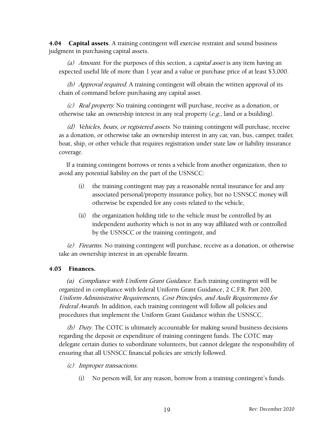**4.04 Capital assets**. A training contingent will exercise restraint and sound business judgment in purchasing capital assets.

(a) Amount. For the purposes of this section, a *capital asset* is any item having an expected useful life of more than 1 year and a value or purchase price of at least \$3,000.

(b) Approval required. A training contingent will obtain the written approval of its chain of command before purchasing any capital asset.

(c) Real property. No training contingent will purchase, receive as a donation, or otherwise take an ownership interest in any real property  $(e.g.,]$  and or a building).

(d) Vehicles, boats, or registered assets. No training contingent will purchase, receive as a donation, or otherwise take an ownership interest in any car, van, bus, camper, trailer, boat, ship, or other vehicle that requires registration under state law or liability insurance coverage.

If a training contingent borrows or rents a vehicle from another organization, then to avoid any potential liability on the part of the USNSCC:

- (i) the training contingent may pay a reasonable rental insurance fee and any associated personal/property insurance policy, but no USNSCC money will otherwise be expended for any costs related to the vehicle,
- (ii) the organization holding title to the vehicle must be controlled by an independent authority which is not in any way affiliated with or controlled by the USNSCC or the training contingent, and

(e) Firearms. No training contingent will purchase, receive as a donation, or otherwise take an ownership interest in an operable firearm.

#### 4.05 Finances.

*(a)* Compliance with Uniform Grant Guidance. Each training contingent will be organized in compliance with federal Uniform Grant Guidance, 2 C.F.R. Part 200, Uniform Administrative Requirements, Cost Principles, and Audit Requirements for Federal Awards. In addition, each training contingent will follow all policies and procedures that implement the Uniform Grant Guidance within the USNSCC.

(b) Duty. The COTC is ultimately accountable for making sound business decisions regarding the deposit or expenditure of training contingent funds. The COTC may delegate certain duties to subordinate volunteers, but cannot delegate the responsibility of ensuring that all USNSCC financial policies are strictly followed.

- (c) Improper transactions.
	- (i) No person will, for any reason, borrow from a training contingent's funds.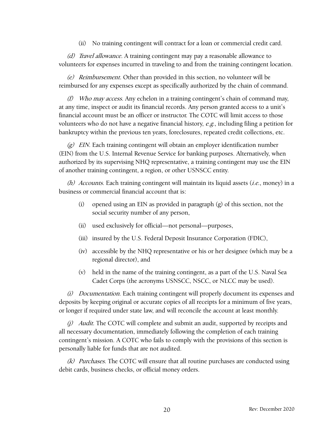(ii) No training contingent will contract for a loan or commercial credit card.

(d) Travel allowance. A training contingent may pay a reasonable allowance to volunteers for expenses incurred in traveling to and from the training contingent location.

(e) Reimbursement. Other than provided in this section, no volunteer will be reimbursed for any expenses except as specifically authorized by the chain of command.

(f) Who may access. Any echelon in a training contingent's chain of command may, at any time, inspect or audit its financial records. Any person granted access to a unit's financial account must be an officer or instructor. The COTC will limit access to those volunteers who do not have a negative financial history, e.g., including filing a petition for bankruptcy within the previous ten years, foreclosures, repeated credit collections, etc.

 $(g)$  EIN. Each training contingent will obtain an employer identification number (EIN) from the U.S. Internal Revenue Service for banking purposes. Alternatively, when authorized by its supervising NHQ representative, a training contingent may use the EIN of another training contingent, a region, or other USNSCC entity.

(h) Accounts. Each training contingent will maintain its liquid assets  $(i.e.,$  money) in a business or commercial financial account that is:

- <span id="page-23-0"></span>(i) opened using an EIN as provided in paragraph (g) [of](#page-23-0) this section, not the social security number of any person,
- (ii) used exclusively for official—not personal—purposes,
- (iii) insured by the U.S. Federal Deposit Insurance Corporation (FDIC),
- (iv) accessible by the NHQ representative or his or her designee (which may be a regional director), and
- (v) held in the name of the training contingent, as a part of the U.S. Naval Sea Cadet Corps (the acronyms USNSCC, NSCC, or NLCC may be used).

(i) Documentation. Each training contingent will properly document its expenses and deposits by keeping original or accurate copies of all receipts for a minimum of five years, or longer if required under state law, and will reconcile the account at least monthly.

(i) Audit. The COTC will complete and submit an audit, supported by receipts and all necessary documentation, immediately following the completion of each training contingent's mission. A COTC who fails to comply with the provisions of this section is personally liable for funds that are not audited.

 $(k)$  Purchases. The COTC will ensure that all routine purchases are conducted using debit cards, business checks, or official money orders.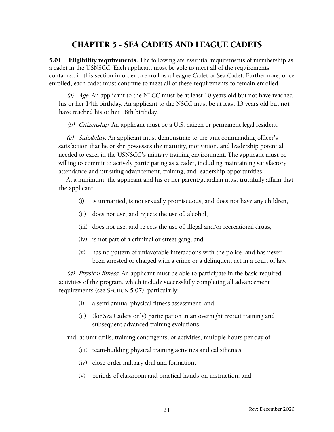## <span id="page-24-1"></span><span id="page-24-0"></span>CHAPTER 5 - SEA CADETS AND LEAGUE CADETS

5.01 Eligibility requirements. The following are essential requirements of membership as a cadet in the USNSCC. Each applicant must be able to meet all of the requirements contained in this section in order to enroll as a League Cadet or Sea Cadet. Furthermore, once enrolled, each cadet must continue to meet all of these requirements to remain enrolled.

(a) Age. An applicant to the NLCC must be at least 10 years old but not have reached his or her 14th birthday. An applicant to the NSCC must be at least 13 years old but not have reached his or her 18th birthday.

(b) Citizenship. An applicant must be a U.S. citizen or permanent legal resident.

(c) Suitability. An applicant must demonstrate to the unit commanding officer's satisfaction that he or she possesses the maturity, motivation, and leadership potential needed to excel in the USNSCC's military training environment. The applicant must be willing to commit to actively participating as a cadet, including maintaining satisfactory attendance and pursuing advancement, training, and leadership opportunities.

At a minimum, the applicant and his or her parent/guardian must truthfully affirm that the applicant:

- (i) is unmarried, is not sexually promiscuous, and does not have any children,
- (ii) does not use, and rejects the use of, alcohol,
- (iii) does not use, and rejects the use of, illegal and/or recreational drugs,
- (iv) is not part of a criminal or street gang, and
- (v) has no pattern of unfavorable interactions with the police, and has never been arrested or charged with a crime or a delinquent act in a court of law.

(d) Physical fitness. An applicant must be able to participate in the basic required activities of the program, which include successfully completing all advancement requirements (see SECTION 5.0[7\), p](#page-27-1)articularly:

- (i) a semi-annual physical fitness assessment, and
- (ii) (for Sea Cadets only) participation in an overnight recruit training and subsequent advanced training evolutions;

and, at unit drills, training contingents, or activities, multiple hours per day of:

- (iii) team-building physical training activities and calisthenics,
- (iv) close-order military drill and formation,
- (v) periods of classroom and practical hands-on instruction, and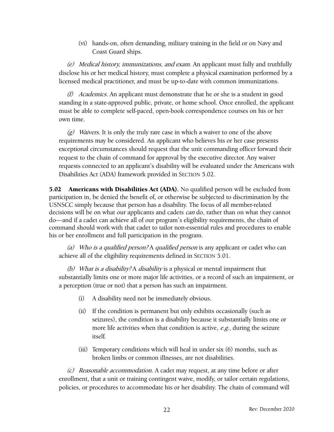(vi) hands-on, often demanding, military training in the field or on Navy and Coast Guard ships.

(e) Medical history, immunizations, and exam. An applicant must fully and truthfully disclose his or her medical history, must complete a physical examination performed by a licensed medical practitioner, and must be up-to-date with common immunizations.

(f) Academics. An applicant must demonstrate that he or she is a student in good standing in a state-approved public, private, or home school. Once enrolled, the applicant must be able to complete self-paced, open-book correspondence courses on his or her own time.

 $(g)$  Waivers. It is only the truly rare case in which a waiver to one of the above requirements may be considered. An applicant who believes his or her case presents exceptional circumstances should request that the unit commanding officer forward their request to the chain of command for approval by the executive director. Any waiver requests connected to an applicant's disability will be evaluated under the Americans with Disabilities Act (ADA) framework provided in SECTION 5.0[2.](#page-25-0)

5.02 [Am](#page-25-0)ericans with Disabilities Act (ADA). No qualified person will be excluded from participation in, be denied the benefit of, or otherwise be subjected to discrimination by the USNSCC simply because that person has a disability. The focus of all member-related decisions will be on what our applicants and cadets *can* do, rather than on what they cannot do—and if a cadet can achieve all of our program's eligibility requirements, the chain of command should work with that cadet to tailor non-essential rules and procedures to enable his or her enrollment and full participation in the program.

(a) Who is a qualified person? A qualified person is any applicant or cadet who can achieve all of the eligibility requirements defined in SECTION 5.0[1.](#page-24-1)

(b) [Wh](#page-24-1)at is a disability? A disability is a physical or mental impairment that substantially limits one or more major life activities, or a record of such an impairment, or a perception (true or not) that a person has such an impairment.

- <span id="page-25-0"></span>(i) A disability need not be immediately obvious.
- (ii) If the condition is permanent but only exhibits occasionally (such as seizures), the condition is a disability because it substantially limits one or more life activities when that condition is active, e.g., during the seizure itself.
- (iii) Temporary conditions which will heal in under six (6) months, such as broken limbs or common illnesses, are not disabilities.

(c) Reasonable accommodation. A cadet may request, at any time before or after enrollment, that a unit or training contingent waive, modify, or tailor certain regulations, policies, or procedures to accommodate his or her disability. The chain of command will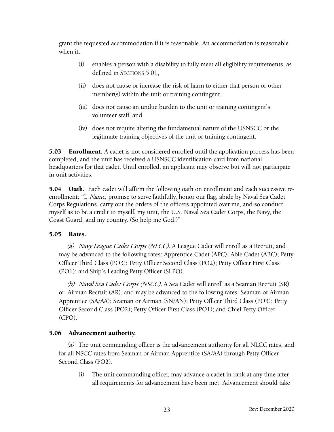grant the requested accommodation if it is reasonable. An accommodation is reasonable when it:

- (i) enables a person with a disability to fully meet all eligibility requirements, as defined in SECTIONS 5.01[,](#page-24-1)
- (ii) [do](#page-24-1)es not cause or increase the risk of harm to either that person or other member(s) within the unit or training contingent,
- (iii) does not cause an undue burden to the unit or training contingent's volunteer staff, and
- (iv) does not require altering the fundamental nature of the USNSCC or the legitimate training objectives of the unit or training contingent.

**5.03** Enrollment. A cadet is not considered enrolled until the application process has been completed, and the unit has received a USNSCC identification card from national headquarters for that cadet. Until enrolled, an applicant may observe but will not participate in unit activities.

5.04 Oath. Each cadet will affirm the following oath on enrollment and each successive reenrollment: "I, *Name*, promise to serve faithfully, honor our flag, abide by Naval Sea Cadet Corps Regulations, carry out the orders of the officers appointed over me, and so conduct myself as to be a credit to myself, my unit, the U.S. Naval Sea Cadet Corps, the Navy, the Coast Guard, and my country. (So help me God.)"

#### 5.05 Rates.

<span id="page-26-0"></span>(a) Navy League Cadet Corps (NLCC). A League Cadet will enroll as a Recruit, and may be advanced to the following rates: Apprentice Cadet (APC); Able Cadet (ABC); Petty Officer Third Class (PO3); Petty Officer Second Class (PO2); Petty Officer First Class (PO1); and Ship's Leading Petty Officer (SLPO).

(b) Naval Sea Cadet Corps (NSCC). A Sea Cadet will enroll as a Seaman Recruit (SR) or Airman Recruit (AR), and may be advanced to the following rates: Seaman or Airman Apprentice (SA/AA); Seaman or Airman (SN/AN); Petty Officer Third Class (PO3); Petty Officer Second Class (PO2); Petty Officer First Class (PO1); and Chief Petty Officer (CPO).

#### 5.06 Advancement authority.

(a) The unit commanding officer is the advancement authority for all NLCC rates, and for all NSCC rates from Seaman or Airman Apprentice (SA/AA) through Petty Officer Second Class (PO2).

(i) The unit commanding officer, may advance a cadet in rank at any time after all requirements for advancement have been met. Advancement should take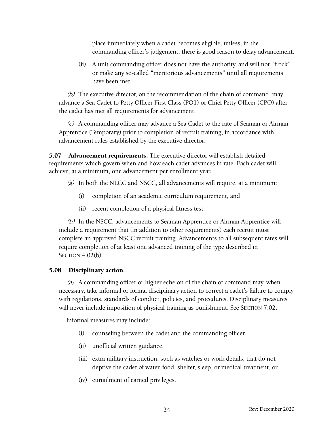place immediately when a cadet becomes eligible, unless, in the commanding officer's judgement, there is good reason to delay advancement.

(ii) A unit commanding officer does not have the authority, and will not "frock" or make any so-called "meritorious advancements" until all requirements have been met.

 $(b)$  The executive director, on the recommendation of the chain of command, may advance a Sea Cadet to Petty Officer First Class (PO1) or Chief Petty Officer (CPO) after the cadet has met all requirements for advancement.

(c) A commanding officer may advance a Sea Cadet to the rate of Seaman or Airman Apprentice (Temporary) prior to completion of recruit training, in accordance with advancement rules established by the executive director.

5.07 Advancement requirements. The executive director will establish detailed requirements which govern when and how each cadet advances in rate. Each cadet will achieve, at a minimum, one advancement per enrollment year.

- <span id="page-27-2"></span><span id="page-27-1"></span>(a) In both the NLCC and NSCC, all advancements will require, at a minimum:
	- (i) completion of an academic curriculum requirement, and
	- (ii) recent completion of a physical fitness test.

(b) In the NSCC, advancements to Seaman Apprentice or Airman Apprentice will include a requirement that (in addition to other requirements) each recruit must complete an approved NSCC recruit training. Advancements to all subsequent rates will require completion of at least one advanced training of the type described in SECTION 4[.](#page-21-1)02(b).

#### 5.08 [Disci](#page-21-1)plinary action.

<span id="page-27-3"></span><span id="page-27-0"></span>(a) A commanding officer or higher echelon of the chain of command may, when necessary, take informal or formal disciplinary action to correct a cadet's failure to comply with regulations, standards of conduct, policies, and procedures. Disciplinary measures will never include imposition of physical training as punishment. See SECTION 7.0[2.](#page-36-1)

[In](#page-36-1)formal measures may include:

- (i) counseling between the cadet and the commanding officer,
- (ii) unofficial written guidance,
- (iii) extra military instruction, such as watches or work details, that do not deprive the cadet of water, food, shelter, sleep, or medical treatment, or
- (iv) curtailment of earned privileges.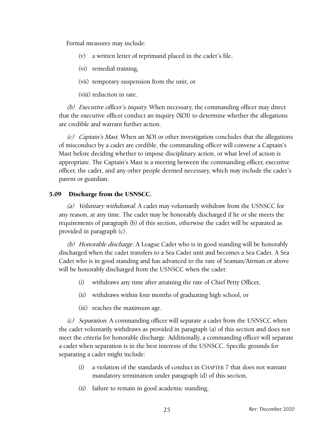Formal measures may include:

- (v) a written letter of reprimand placed in the cadet's file,
- (vi) remedial training,
- (vii) temporary suspension from the unit, or

(viii) reduction in rate.

(b) Executive officer's inquiry. When necessary, the commanding officer may direct that the executive officer conduct an inquiry (XOI) to determine whether the allegations are credible and warrant further action.

(c) Captain's Mast. When an XOI or other investigation concludes that the allegations of misconduct by a cadet are credible, the commanding officer will convene a Captain's Mast before deciding whether to impose disciplinary action, or what level of action is appropriate. The Captain's Mast is a meeting between the commanding officer, executive officer, the cadet, and any other people deemed necessary, which may include the cadet's parent or guardian.

#### 5.09 Discharge from the USNSCC.

<span id="page-28-3"></span><span id="page-28-2"></span>(a) Voluntary withdrawal. A cadet may voluntarily withdraw from the USNSCC for any reason, at any time. The cadet may be honorably discharged if he or she meets the requirements of paragraph (b) [of](#page-28-0) this section, otherwise the cadet will be separated as provided in paragraph (c)[.](#page-28-1)

(b) [H](#page-28-1)onorable discharge. A League Cadet who is in good standing will be honorably discharged when the cadet transfers to a Sea Cadet unit and becomes a Sea Cadet. A Sea Cadet who is in good standing and has advanced to the rate of Seaman/Airman or above will be honorably discharged from the USNSCC when the cadet:

- <span id="page-28-0"></span>(i) withdraws any time after attaining the rate of Chief Petty Officer,
- (ii) withdraws within four months of graduating high school, or
- (iii) reaches the maximum age.

(c) Separation. A commanding officer will separate a cadet from the USNSCC when the cadet voluntarily withdraws as provided in paragraph (a) [of](#page-28-2) this section and does not meet the criteria for honorable discharge. Additionally, a commanding officer will separate a cadet when separation is in the best interests of the USNSCC. Specific grounds for separating a cadet might include:

- <span id="page-28-1"></span>(i) a violation of the standards of conduct in CHAPTER 7 that does not warrant mandatory termination under paragraph (d) [of](#page-29-0) this section,
- (ii) failure to remain in good academic standing,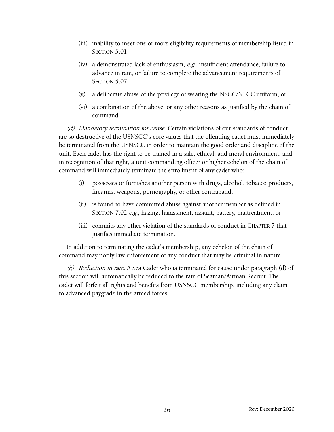- (iii) inability to meet one or more eligibility requirements of membership listed in SECTION 5.0[1,](#page-24-1)
- (iv) [a](#page-24-1) demonstrated lack of enthusiasm,  $e.g.,$  insufficient attendance, failure to advance in rate, or failure to complete the advancement requirements of SECTION 5.0[7,](#page-27-2)
- (v) [a](#page-27-2) deliberate abuse of the privilege of wearing the NSCC/NLCC uniform, or
- (vi) a combination of the above, or any other reasons as justified by the chain of command.

(d) Mandatory termination for cause. Certain violations of our standards of conduct are so destructive of the USNSCC's core values that the offending cadet must immediately be terminated from the USNSCC in order to maintain the good order and discipline of the unit. Each cadet has the right to be trained in a safe, ethical, and moral environment, and in recognition of that right, a unit commanding officer or higher echelon of the chain of command will immediately terminate the enrollment of any cadet who:

- <span id="page-29-0"></span>(i) possesses or furnishes another person with drugs, alcohol, tobacco products, firearms, weapons, pornography, or other contraband,
- (ii) is found to have committed abuse against another member as defined in SECTION 7.02 [e.g](#page-36-1)., hazing, harassment, assault, battery, maltreatment, or
- (iii) commits any other violation of the standards of conduct in CHAPTER 7 that justifies immediate termination.

In addition to terminating the cadet's membership, any echelon of the chain of command may notify law enforcement of any conduct that may be criminal in nature.

(e) Reduction in rate. A Sea Cadet who is terminated for cause under paragraph (d) [of](#page-29-0) this section will automatically be reduced to the rate of Seaman/Airman Recruit. The cadet will forfeit all rights and benefits from USNSCC membership, including any claim to advanced paygrade in the armed forces.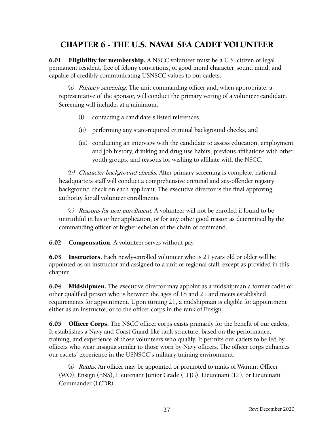## CHAPTER 6 - THE U.S. NAVAL SEA CADET VOLUNTEER

**6.01 Eligibility for membership.** A NSCC volunteer must be a U.S. citizen or legal permanent resident, free of felony convictions, of good moral character, sound mind, and capable of credibly communicating USNSCC values to our cadets.

(a) Primary screening. The unit commanding officer and, when appropriate, a representative of the sponsor, will conduct the primary vetting of a volunteer candidate. Screening will include, at a minimum:

- <span id="page-30-0"></span>(i) contacting a candidate's listed references,
- (ii) performing any state-required criminal background checks, and
- (iii) conducting an interview with the candidate to assess education, employment and job history, drinking and drug use habits, previous affiliations with other youth groups, and reasons for wishing to affiliate with the NSCC.

(b) Character background checks. After primary screening is complete, national headquarters staff will conduct a comprehensive criminal and sex-offender registry background check on each applicant. The executive director is the final approving authority for all volunteer enrollments.

(c) Reasons for non-enrollment. A volunteer will not be enrolled if found to be untruthful in his or her application, or for any other good reason as determined by the commanding officer or higher echelon of the chain of command.

**6.02** Compensation. A volunteer serves without pay.

6.03 Instructors. Each newly-enrolled volunteer who is 21 years old or older will be appointed as an instructor and assigned to a unit or regional staff, except as provided in this chapter.

**6.04** Midshipmen. The executive director may appoint as a midshipman a former cadet or other qualified person who is between the ages of 18 and 21 and meets established requirements for appointment. Upon turning 21, a midshipman is eligible for appointment either as an instructor, or to the officer corps in the rank of Ensign.

6.05 Officer Corps. The NSCC officer corps exists primarily for the benefit of our cadets. It establishes a Navy and Coast Guard-like rank structure, based on the performance, training, and experience of those volunteers who qualify. It permits our cadets to be led by officers who wear insignia similar to those worn by Navy officers. The officer corps enhances our cadets' experience in the USNSCC's military training environment.

(a) Ranks. An officer may be appointed or promoted to ranks of Warrant Officer (WO), Ensign (ENS), Lieutenant Junior Grade (LTJG), Lieutenant (LT), or Lieutenant Commander (LCDR).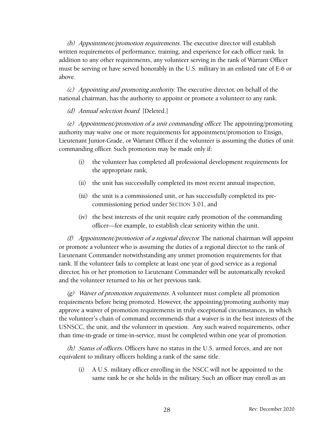(b) Appointment/promotion requirements. The executive director will establish written requirements of performance, training, and experience for each officer rank. In addition to any other requirements, any volunteer serving in the rank of Warrant Officer must be serving or have served honorably in the U.S. military in an enlisted rate of E-6 or above.

(c) Appointing and promoting authority. The executive director, on behalf of the national chairman, has the authority to appoint or promote a volunteer to any rank.

(d) Annual selection board. [Deleted.]

(e) Appointment/promotion of <sup>a</sup> unit commanding officer. The appointing/promoting authority may waive one or more requirements for appointment/promotion to Ensign, Lieutenant Junior-Grade, or Warrant Officer if the volunteer is assuming the duties of unit commanding officer. Such promotion may be made only if:

- (i) the volunteer has completed all professional development requirements for the appropriate rank,
- (ii) the unit has successfully completed its most recent annual inspection,
- (iii) the unit is a commissioned unit, or has successfully completed its precommissioning period under SECTION 3.0[1, an](#page-13-1)d
- (iv) the best interests of the unit require early promotion of the commanding officer—for example, to establish clear seniority within the unit.

(f) Appointment/promotion of a regional director. The national chairman will appoint or promote a volunteer who is assuming the duties of a regional director to the rank of Lieutenant Commander notwithstanding any unmet promotion requirements for that rank. If the volunteer fails to complete at least one year of good service as a regional director, his or her promotion to Lieutenant Commander will be automatically revoked and the volunteer returned to his or her previous rank.

 $(g)$  Waiver of promotion requirements. A volunteer must complete all promotion requirements before being promoted. However, the appointing/promoting authority may approve a waiver of promotion requirements in truly exceptional circumstances, in which the volunteer's chain of command recommends that a waiver is in the best interests of the USNSCC, the unit, and the volunteer in question. Any such waived requirements, other than time-in-grade or time-in-service, must be completed within one year of promotion.

(h) Status of officers. Officers have no status in the U.S. armed forces, and are not equivalent to military officers holding a rank of the same title.

(i) A U.S. military officer enrolling in the NSCC will not be appointed to the same rank he or she holds in the military. Such an officer may enroll as an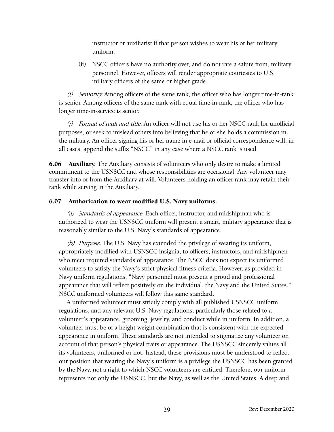instructor or auxiliarist if that person wishes to wear his or her military uniform.

(ii) NSCC officers have no authority over, and do not rate a salute from, military personnel. However, officers will render appropriate courtesies to U.S. military officers of the same or higher grade.

(i) Seniority. Among officers of the same rank, the officer who has longer time-in-rank is senior. Among officers of the same rank with equal time-in-rank, the officer who has longer time-in-service is senior.

 $(j)$  Format of rank and title. An officer will not use his or her NSCC rank for unofficial purposes, or seek to mislead others into believing that he or she holds a commission in the military. An officer signing his or her name in e-mail or official correspondence will, in all cases, append the suffix "NSCC" in any case where a NSCC rank is used.

**6.06 Auxiliary.** The Auxiliary consists of volunteers who only desire to make a limited commitment to the USNSCC and whose responsibilities are occasional. Any volunteer may transfer into or from the Auxiliary at will. Volunteers holding an officer rank may retain their rank while serving in the Auxiliary.

#### 6.07 Authorization to wear modified U.S. Navy uniforms.

(a) Standards of appearance. Each officer, instructor, and midshipman who is authorized to wear the USNSCC uniform will present a smart, military appearance that is reasonably similar to the U.S. Navy's standards of appearance.

<span id="page-32-0"></span>(b) Purpose. The U.S. Navy has extended the privilege of wearing its uniform, appropriately modified with USNSCC insignia, to officers, instructors, and midshipmen who meet required standards of appearance. The NSCC does not expect its uniformed volunteers to satisfy the Navy's strict physical fitness criteria. However, as provided in Navy uniform regulations, "Navy personnel must present a proud and professional appearance that will reflect positively on the individual, the Navy and the United States." NSCC uniformed volunteers will follow this same standard.

A uniformed volunteer must strictly comply with all published USNSCC uniform regulations, and any relevant U.S. Navy regulations, particularly those related to a volunteer's appearance, grooming, jewelry, and conduct while in uniform. In addition, a volunteer must be of a height-weight combination that is consistent with the expected appearance in uniform. These standards are not intended to stigmatize any volunteer on account of that person's physical traits or appearance. The USNSCC sincerely values all its volunteers, uniformed or not. Instead, these provisions must be understood to reflect our position that wearing the Navy's uniform is a privilege the USNSCC has been granted by the Navy, not a right to which NSCC volunteers are entitled. Therefore, our uniform represents not only the USNSCC, but the Navy, as well as the United States. A deep and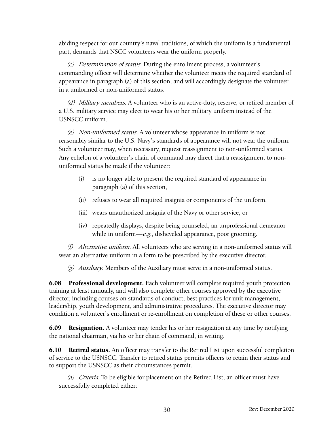abiding respect for our country's naval traditions, of which the uniform is a fundamental part, demands that NSCC volunteers wear the uniform properly.

(c) Determination of status. During the enrollment process, a volunteer's commanding officer will determine whether the volunteer meets the required standard of appearance in paragraph (a) [of](#page-32-0) this section, and will accordingly designate the volunteer in a uniformed or non-uniformed status.

(d) Military members. A volunteer who is an active-duty, reserve, or retired member of a U.S. military service may elect to wear his or her military uniform instead of the USNSCC uniform.

(e) Non-uniformed status. A volunteer whose appearance in uniform is not reasonably similar to the U.S. Navy's standards of appearance will not wear the uniform. Such a volunteer may, when necessary, request reassignment to non-uniformed status. Any echelon of a volunteer's chain of command may direct that a reassignment to nonuniformed status be made if the volunteer:

- (i) is no longer able to present the required standard of appearance in paragraph (a) [of](#page-32-0) this section,
- (ii) refuses to wear all required insignia or components of the uniform,
- (iii) wears unauthorized insignia of the Navy or other service, or
- (iv) repeatedly displays, despite being counseled, an unprofessional demeanor while in uniform— $e.g.,$  disheveled appearance, poor grooming.

(f) Alternative uniform. All volunteers who are serving in a non-uniformed status will wear an alternative uniform in a form to be prescribed by the executive director.

(g) Auxiliary. Members of the Auxiliary must serve in a non-uniformed status.

6.08 Professional development. Each volunteer will complete required youth protection training at least annually, and will also complete other courses approved by the executive director, including courses on standards of conduct, best practices for unit management, leadership, youth development, and administrative procedures. The executive director may condition a volunteer's enrollment or re-enrollment on completion of these or other courses.

**6.09 Resignation.** A volunteer may tender his or her resignation at any time by notifying the national chairman, via his or her chain of command, in writing.

**6.10 Retired status.** An officer may transfer to the Retired List upon successful completion of service to the USNSCC. Transfer to retired status permits officers to retain their status and to support the USNSCC as their circumstances permit.

(a) Criteria. To be eligible for placement on the Retired List, an officer must have successfully completed either: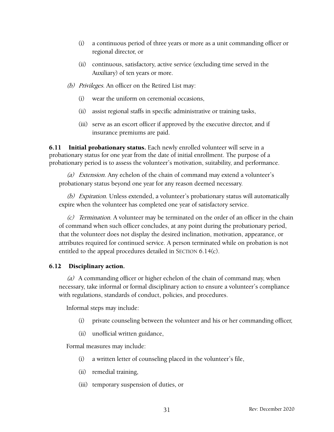- (i) a continuous period of three years or more as a unit commanding officer or regional director, or
- (ii) continuous, satisfactory, active service (excluding time served in the Auxiliary) of ten years or more.
- (b) Privileges. An officer on the Retired List may:
	- (i) wear the uniform on ceremonial occasions,
	- (ii) assist regional staffs in specific administrative or training tasks,
	- (iii) serve as an escort officer if approved by the executive director, and if insurance premiums are paid.

**6.11 Initial probationary status.** Each newly enrolled volunteer will serve in a probationary status for one year from the date of initial enrollment. The purpose of a probationary period is to assess the volunteer's motivation, suitability, and performance.

(a) Extension. Any echelon of the chain of command may extend a volunteer's probationary status beyond one year for any reason deemed necessary.

(b) Expiration. Unless extended, a volunteer's probationary status will automatically expire when the volunteer has completed one year of satisfactory service.

 $(c)$  Termination. A volunteer may be terminated on the order of an officer in the chain of command when such officer concludes, at any point during the probationary period, that the volunteer does not display the desired inclination, motivation, appearance, or attributes required for continued service. A person terminated while on probation is not entitled to the appeal procedures detailed in SECTION 6.14(c[\).](#page-35-1)

#### 6.12 [Disci](#page-35-1)plinary action.

<span id="page-34-0"></span>(a) A commanding officer or higher echelon of the chain of command may, when necessary, take informal or formal disciplinary action to ensure a volunteer's compliance with regulations, standards of conduct, policies, and procedures.

Informal steps may include:

- (i) private counseling between the volunteer and his or her commanding officer,
- (ii) unofficial written guidance,

Formal measures may include:

- (i) a written letter of counseling placed in the volunteer's file,
- (ii) remedial training,
- (iii) temporary suspension of duties, or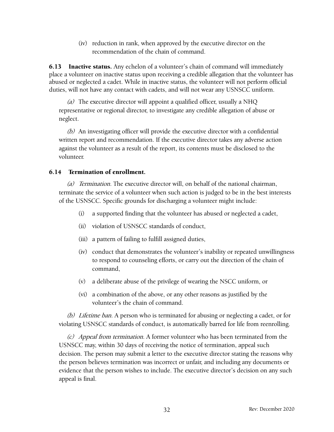(iv) reduction in rank, when approved by the executive director on the recommendation of the chain of command.

**6.13** Inactive status. Any echelon of a volunteer's chain of command will immediately place a volunteer on inactive status upon receiving a credible allegation that the volunteer has abused or neglected a cadet. While in inactive status, the volunteer will not perform official duties, will not have any contact with cadets, and will not wear any USNSCC uniform.

(a) The executive director will appoint a qualified officer, usually a NHQ representative or regional director, to investigate any credible allegation of abuse or neglect.

(b) An investigating officer will provide the executive director with a confidential written report and recommendation. If the executive director takes any adverse action against the volunteer as a result of the report, its contents must be disclosed to the volunteer.

#### 6.14 Termination of enrollment.

(a) Termination. The executive director will, on behalf of the national chairman, terminate the service of a volunteer when such action is judged to be in the best interests of the USNSCC. Specific grounds for discharging a volunteer might include:

- <span id="page-35-0"></span>(i) a supported finding that the volunteer has abused or neglected a cadet,
- (ii) violation of USNSCC standards of conduct,
- (iii) a pattern of failing to fulfill assigned duties,
- (iv) conduct that demonstrates the volunteer's inability or repeated unwillingness to respond to counseling efforts, or carry out the direction of the chain of command,
- (v) a deliberate abuse of the privilege of wearing the NSCC uniform, or
- (vi) a combination of the above, or any other reasons as justified by the volunteer's the chain of command.

(b) Lifetime ban. A person who is terminated for abusing or neglecting a cadet, or for violating USNSCC standards of conduct, is automatically barred for life from reenrolling.

<span id="page-35-1"></span>(c) Appeal from termination. A former volunteer who has been terminated from the USNSCC may, within 30 days of receiving the notice of termination, appeal such decision. The person may submit a letter to the executive director stating the reasons why the person believes termination was incorrect or unfair, and including any documents or evidence that the person wishes to include. The executive director's decision on any such appeal is final.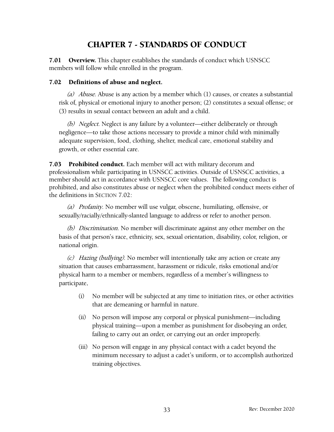## <span id="page-36-1"></span><span id="page-36-0"></span>CHAPTER 7 - STANDARDS OF CONDUCT

7.01 Overview. This chapter establishes the standards of conduct which USNSCC members will follow while enrolled in the program.

#### 7.02 Definitions of abuse and neglect.

(a) Abuse. Abuse is any action by a member which  $(1)$  causes, or creates a substantial risk of, physical or emotional injury to another person; (2) constitutes a sexual offense; or (3) results in sexual contact between an adult and a child.

(b) Neglect. Neglect is any failure by a volunteer—either deliberately or through negligence—to take those actions necessary to provide a minor child with minimally adequate supervision, food, clothing, shelter, medical care, emotional stability and growth, or other essential care.

7.03 Prohibited conduct. Each member will act with military decorum and professionalism while participating in USNSCC activities. Outside of USNSCC activities, a member should act in accordance with USNSCC core values. The following conduct is prohibited, and also constitutes abuse or neglect when the prohibited conduct meets either of the definitions in SECTION 7.0[2:](#page-36-1)

(a) [Pr](#page-36-1)ofanity. No member will use vulgar, obscene, humiliating, offensive, or sexually/racially/ethnically-slanted language to address or refer to another person.

(b) Discrimination. No member will discriminate against any other member on the basis of that person's race, ethnicity, sex, sexual orientation, disability, color, religion, or national origin.

(c) Hazing (bullying). No member will intentionally take any action or create any situation that causes embarrassment, harassment or ridicule, risks emotional and/or physical harm to a member or members, regardless of a member's willingness to participate.

- (i) No member will be subjected at any time to initiation rites, or other activities that are demeaning or harmful in nature.
- (ii) No person will impose any corporal or physical punishment—including physical training—upon a member as punishment for disobeying an order, failing to carry out an order, or carrying out an order improperly.
- (iii) No person will engage in any physical contact with a cadet beyond the minimum necessary to adjust a cadet's uniform, or to accomplish authorized training objectives.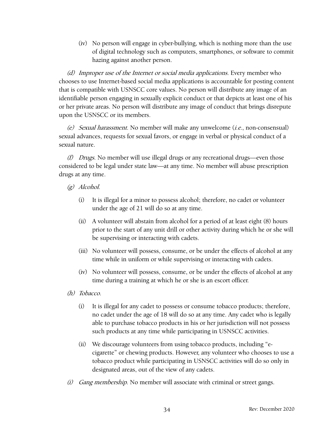(iv) No person will engage in cyber-bullying, which is nothing more than the use of digital technology such as computers, smartphones, or software to commit hazing against another person.

(d) Improper use of the Internet or social media applications. Every member who chooses to use Internet-based social media applications is accountable for posting content that is compatible with USNSCC core values. No person will distribute any image of an identifiable person engaging in sexually explicit conduct or that depicts at least one of his or her private areas. No person will distribute any image of conduct that brings disrepute upon the USNSCC or its members.

(e) Sexual harassment. No member will make any unwelcome (i.e., non-consensual) sexual advances, requests for sexual favors, or engage in verbal or physical conduct of a sexual nature.

(f) Drugs. No member will use illegal drugs or any recreational drugs—even those considered to be legal under state law—at any time. No member will abuse prescription drugs at any time.

- (g) Alcohol.
	- (i) It is illegal for a minor to possess alcohol; therefore, no cadet or volunteer under the age of 21 will do so at any time.
	- (ii) A volunteer will abstain from alcohol for a period of at least eight (8) hours prior to the start of any unit drill or other activity during which he or she will be supervising or interacting with cadets.
	- (iii) No volunteer will possess, consume, or be under the effects of alcohol at any time while in uniform or while supervising or interacting with cadets.
	- (iv) No volunteer will possess, consume, or be under the effects of alcohol at any time during a training at which he or she is an escort officer.
- (h) Tobacco.
	- (i) It is illegal for any cadet to possess or consume tobacco products; therefore, no cadet under the age of 18 will do so at any time. Any cadet who is legally able to purchase tobacco products in his or her jurisdiction will not possess such products at any time while participating in USNSCC activities.
	- (ii) We discourage volunteers from using tobacco products, including "ecigarette" or chewing products. However, any volunteer who chooses to use a tobacco product while participating in USNSCC activities will do so only in designated areas, out of the view of any cadets.
- $(i)$  Gang membership. No member will associate with criminal or street gangs.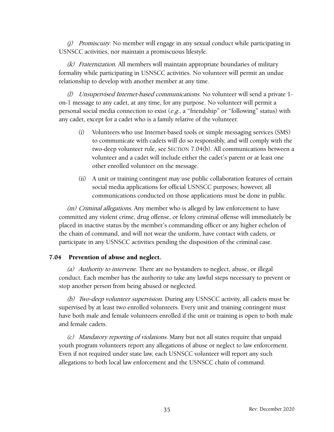$(i)$  Promiscuity. No member will engage in any sexual conduct while participating in USNSCC activities, nor maintain a promiscuous lifestyle.

(k) Fraternization. All members will maintain appropriate boundaries of military formality while participating in USNSCC activities. No volunteer will permit an undue relationship to develop with another member at any time.

(l) Unsupervised Internet-based communications. No volunteer will send a private 1 on-1 message to any cadet, at any time, for any purpose. No volunteer will permit a personal social media connection to exist  $(e.g., a "friendship" or "following" status) with$ any cadet, except for a cadet who is a family relative of the volunteer.

- (i) Volunteers who use Internet-based tools or simple messaging services (SMS) to communicate with cadets will do so responsibly, and will comply with the two-deep volunteer rule, see SECTION 7.04(b[\). All c](#page-38-0)ommunications between a volunteer and a cadet will include either the cadet's parent or at least one other enrolled volunteer on the message.
- (ii) A unit or training contingent may use public collaboration features of certain social media applications for official USNSCC purposes; however, all communications conducted on those applications must be done in public.

(*m*) Criminal allegations. Any member who is alleged by law enforcement to have committed any violent crime, drug offense, or felony criminal offense will immediately be placed in inactive status by the member's commanding officer or any higher echelon of the chain of command, and will not wear the uniform, have contact with cadets, or participate in any USNSCC activities pending the disposition of the criminal case.

#### 7.04 Prevention of abuse and neglect.

(a) Authority to intervene. There are no bystanders to neglect, abuse, or illegal conduct. Each member has the authority to take any lawful steps necessary to prevent or stop another person from being abused or neglected.

<span id="page-38-0"></span>(b) Two-deep volunteer supervision. During any USNSCC activity, all cadets must be supervised by at least two enrolled volunteers. Every unit and training contingent must have both male and female volunteers enrolled if the unit or training is open to both male and female cadets.

(c) Mandatory reporting of violations. Many but not all states require that unpaid youth program volunteers report any allegations of abuse or neglect to law enforcement. Even if not required under state law, each USNSCC volunteer will report any such allegations to both local law enforcement and the USNSCC chain of command.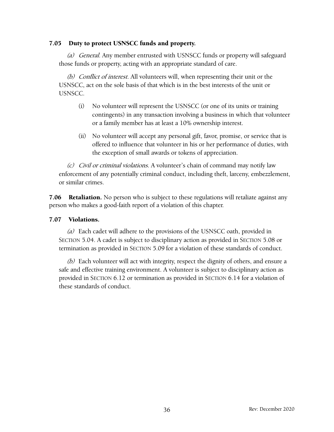#### 7.05 Duty to protect USNSCC funds and property.

(a) General. Any member entrusted with USNSCC funds or property will safeguard those funds or property, acting with an appropriate standard of care.

(b) Conflict of interest. All volunteers will, when representing their unit or the USNSCC, act on the sole basis of that which is in the best interests of the unit or USNSCC.

- (i) No volunteer will represent the USNSCC (or one of its units or training contingents) in any transaction involving a business in which that volunteer or a family member has at least a 10% ownership interest.
- (ii) No volunteer will accept any personal gift, favor, promise, or service that is offered to influence that volunteer in his or her performance of duties, with the exception of small awards or tokens of appreciation.

(c) Civil or criminal violations. A volunteer's chain of command may notify law enforcement of any potentially criminal conduct, including theft, larceny, embezzlement, or similar crimes.

7.06 Retaliation. No person who is subject to these regulations will retaliate against any person who makes a good-faith report of a violation of this chapter.

#### 7.07 Violations.

(a) Each cadet will adhere to the provisions of the USNSCC oath, provided in SECTION 5.04[. A](#page-26-0) cadet is subject to disciplinary action as provided in SECTION 5.08 [or](#page-27-3) termination as provided in SECTION 5.09 [for](#page-28-3) a violation of these standards of conduct.

(b) Each volunteer will act with integrity, respect the dignity of others, and ensure a safe and effective training environment. A volunteer is subject to disciplinary action as provided in SECTION 6.12 [or](#page-34-0) termination as provided in SECTION 6.14 [for](#page-35-0) a violation of these standards of conduct.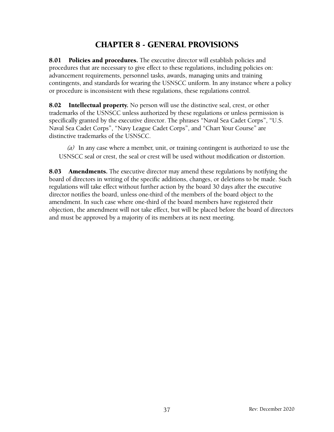## <span id="page-40-0"></span>CHAPTER 8 - GENERAL PROVISIONS

8.01 Policies and procedures. The executive director will establish policies and procedures that are necessary to give effect to these regulations, including policies on: advancement requirements, personnel tasks, awards, managing units and training contingents, and standards for wearing the USNSCC uniform. In any instance where a policy or procedure is inconsistent with these regulations, these regulations control.

8.02 Intellectual property. No person will use the distinctive seal, crest, or other trademarks of the USNSCC unless authorized by these regulations or unless permission is specifically granted by the executive director. The phrases "Naval Sea Cadet Corps", "U.S. Naval Sea Cadet Corps", "Navy League Cadet Corps", and "Chart Your Course" are distinctive trademarks of the USNSCC.

(a) In any case where a member, unit, or training contingent is authorized to use the USNSCC seal or crest, the seal or crest will be used without modification or distortion.

**8.03 Amendments.** The executive director may amend these regulations by notifying the board of directors in writing of the specific additions, changes, or deletions to be made. Such regulations will take effect without further action by the board 30 days after the executive director notifies the board, unless one-third of the members of the board object to the amendment. In such case where one-third of the board members have registered their objection, the amendment will not take effect, but will be placed before the board of directors and must be approved by a majority of its members at its next meeting.